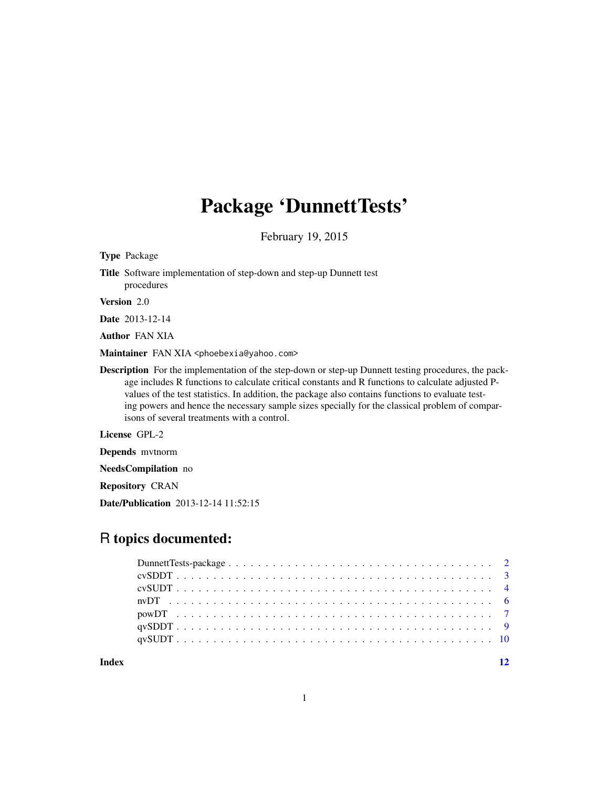## Package 'DunnettTests'

February 19, 2015

Type Package

Title Software implementation of step-down and step-up Dunnett test procedures

Version 2.0

Date 2013-12-14

Author FAN XIA

Maintainer FAN XIA <phoebexia@yahoo.com>

Description For the implementation of the step-down or step-up Dunnett testing procedures, the package includes R functions to calculate critical constants and R functions to calculate adjusted Pvalues of the test statistics. In addition, the package also contains functions to evaluate testing powers and hence the necessary sample sizes specially for the classical problem of comparisons of several treatments with a control.

License GPL-2

Depends mvtnorm

NeedsCompilation no

Repository CRAN

Date/Publication 2013-12-14 11:52:15

### R topics documented:

| Index |  |
|-------|--|
|       |  |

1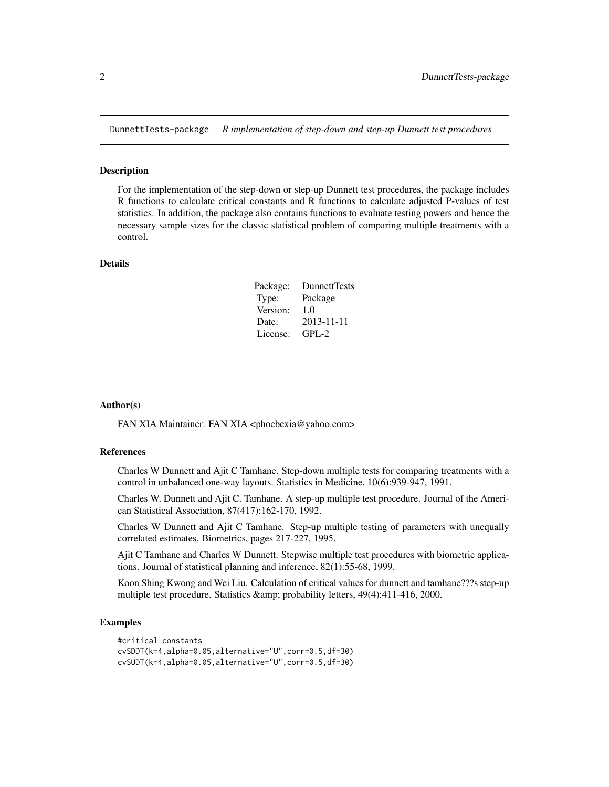<span id="page-1-0"></span>DunnettTests-package *R implementation of step-down and step-up Dunnett test procedures*

#### Description

For the implementation of the step-down or step-up Dunnett test procedures, the package includes R functions to calculate critical constants and R functions to calculate adjusted P-values of test statistics. In addition, the package also contains functions to evaluate testing powers and hence the necessary sample sizes for the classic statistical problem of comparing multiple treatments with a control.

#### Details

| Package: | DunnettTests |
|----------|--------------|
| Type:    | Package      |
| Version: | 1.0          |
| Date:    | 2013-11-11   |
| License: | $GPI - 2$    |

#### Author(s)

FAN XIA Maintainer: FAN XIA <phoebexia@yahoo.com>

#### References

Charles W Dunnett and Ajit C Tamhane. Step-down multiple tests for comparing treatments with a control in unbalanced one-way layouts. Statistics in Medicine, 10(6):939-947, 1991.

Charles W. Dunnett and Ajit C. Tamhane. A step-up multiple test procedure. Journal of the American Statistical Association, 87(417):162-170, 1992.

Charles W Dunnett and Ajit C Tamhane. Step-up multiple testing of parameters with unequally correlated estimates. Biometrics, pages 217-227, 1995.

Ajit C Tamhane and Charles W Dunnett. Stepwise multiple test procedures with biometric applications. Journal of statistical planning and inference, 82(1):55-68, 1999.

Koon Shing Kwong and Wei Liu. Calculation of critical values for dunnett and tamhane???s step-up multiple test procedure. Statistics & amp; probability letters, 49(4):411-416, 2000.

#### Examples

```
#critical constants
cvSDDT(k=4,alpha=0.05,alternative="U",corr=0.5,df=30)
cvSUDT(k=4,alpha=0.05,alternative="U",corr=0.5,df=30)
```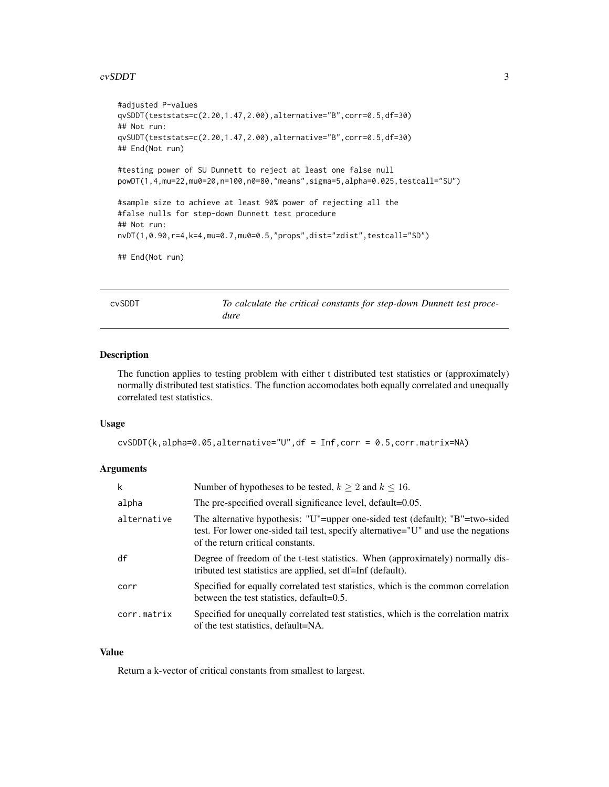#### <span id="page-2-0"></span>cvSDDT 3

```
#adjusted P-values
qvSDDT(teststats=c(2.20,1.47,2.00),alternative="B",corr=0.5,df=30)
## Not run:
qvSUDT(teststats=c(2.20,1.47,2.00),alternative="B",corr=0.5,df=30)
## End(Not run)
#testing power of SU Dunnett to reject at least one false null
powDT(1,4,mu=22,mu0=20,n=100,n0=80,"means",sigma=5,alpha=0.025,testcall="SU")
#sample size to achieve at least 90% power of rejecting all the
#false nulls for step-down Dunnett test procedure
## Not run:
nvDT(1,0.90,r=4,k=4,mu=0.7,mu0=0.5,"props",dist="zdist",testcall="SD")
## End(Not run)
```
cvSDDT *To calculate the critical constants for step-down Dunnett test procedure*

#### Description

The function applies to testing problem with either t distributed test statistics or (approximately) normally distributed test statistics. The function accomodates both equally correlated and unequally correlated test statistics.

#### Usage

```
cvSDDT(k,alpha=0.05,alternative="U",df = Inf,corr = 0.5,corr.matrix=NA)
```
#### Arguments

| k           | Number of hypotheses to be tested, $k \ge 2$ and $k \le 16$ .                                                                                                                                            |
|-------------|----------------------------------------------------------------------------------------------------------------------------------------------------------------------------------------------------------|
| alpha       | The pre-specified overall significance level, default=0.05.                                                                                                                                              |
| alternative | The alternative hypothesis: "U"=upper one-sided test (default); "B"=two-sided<br>test. For lower one-sided tail test, specify alternative="U" and use the negations<br>of the return critical constants. |
| df          | Degree of freedom of the t-test statistics. When (approximately) normally dis-<br>tributed test statistics are applied, set df=Inf (default).                                                            |
| corr        | Specified for equally correlated test statistics, which is the common correlation<br>between the test statistics, default=0.5.                                                                           |
| corr.matrix | Specified for unequally correlated test statistics, which is the correlation matrix<br>of the test statistics, default=NA.                                                                               |

#### Value

Return a k-vector of critical constants from smallest to largest.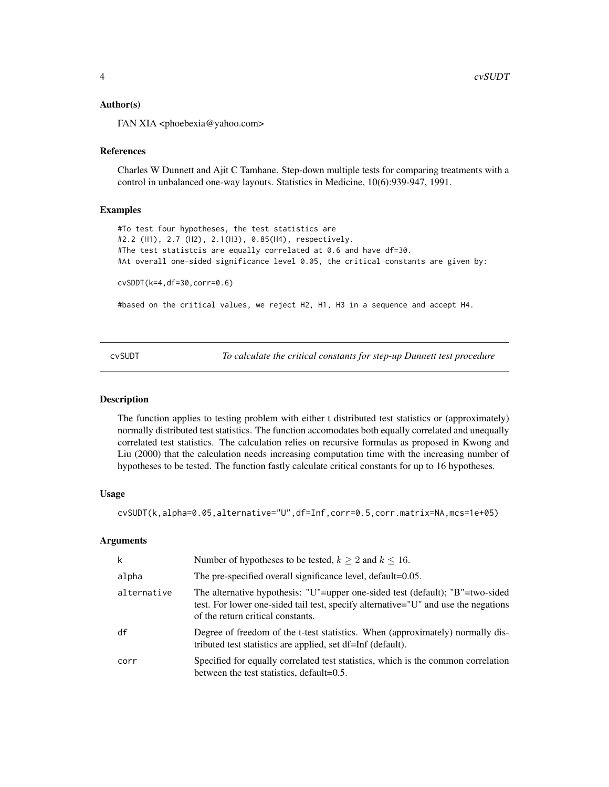#### <span id="page-3-0"></span>Author(s)

FAN XIA <phoebexia@yahoo.com>

#### References

Charles W Dunnett and Ajit C Tamhane. Step-down multiple tests for comparing treatments with a control in unbalanced one-way layouts. Statistics in Medicine, 10(6):939-947, 1991.

#### Examples

```
#To test four hypotheses, the test statistics are
#2.2 (H1), 2.7 (H2), 2.1(H3), 0.85(H4), respectively.
#The test statistcis are equally correlated at 0.6 and have df=30.
#At overall one-sided significance level 0.05, the critical constants are given by:
cvSDDT(k=4,df=30,corr=0.6)
```
#based on the critical values, we reject H2, H1, H3 in a sequence and accept H4.

cvSUDT *To calculate the critical constants for step-up Dunnett test procedure*

#### **Description**

The function applies to testing problem with either t distributed test statistics or (approximately) normally distributed test statistics. The function accomodates both equally correlated and unequally correlated test statistics. The calculation relies on recursive formulas as proposed in Kwong and Liu (2000) that the calculation needs increasing computation time with the increasing number of hypotheses to be tested. The function fastly calculate critical constants for up to 16 hypotheses.

#### Usage

cvSUDT(k,alpha=0.05,alternative="U",df=Inf,corr=0.5,corr.matrix=NA,mcs=1e+05)

#### Arguments

| k           | Number of hypotheses to be tested, $k > 2$ and $k < 16$ .                                                                                                                                                |
|-------------|----------------------------------------------------------------------------------------------------------------------------------------------------------------------------------------------------------|
| alpha       | The pre-specified overall significance level, default=0.05.                                                                                                                                              |
| alternative | The alternative hypothesis: "U"=upper one-sided test (default); "B"=two-sided<br>test. For lower one-sided tail test, specify alternative="U" and use the negations<br>of the return critical constants. |
| df          | Degree of freedom of the t-test statistics. When (approximately) normally dis-<br>tributed test statistics are applied, set df=Inf (default).                                                            |
| corr        | Specified for equally correlated test statistics, which is the common correlation<br>between the test statistics, default=0.5.                                                                           |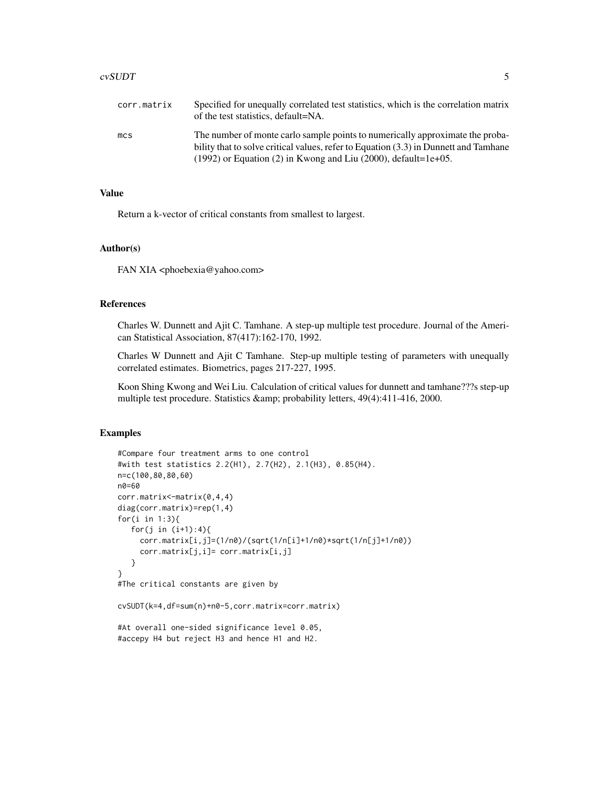#### cvSUDT 5

| corr.matrix | Specified for unequally correlated test statistics, which is the correlation matrix<br>of the test statistics, default=NA.                                            |
|-------------|-----------------------------------------------------------------------------------------------------------------------------------------------------------------------|
| mcs         | The number of monte carlo sample points to numerically approximate the proba-<br>bility that to solve critical values, refer to Equation (3.3) in Dunnett and Tamhane |
|             | $(1992)$ or Equation (2) in Kwong and Liu (2000), default=1e+05.                                                                                                      |

#### Value

Return a k-vector of critical constants from smallest to largest.

#### Author(s)

FAN XIA <phoebexia@yahoo.com>

#### References

Charles W. Dunnett and Ajit C. Tamhane. A step-up multiple test procedure. Journal of the American Statistical Association, 87(417):162-170, 1992.

Charles W Dunnett and Ajit C Tamhane. Step-up multiple testing of parameters with unequally correlated estimates. Biometrics, pages 217-227, 1995.

Koon Shing Kwong and Wei Liu. Calculation of critical values for dunnett and tamhane???s step-up multiple test procedure. Statistics & amp; probability letters, 49(4):411-416, 2000.

#### Examples

```
#Compare four treatment arms to one control
#with test statistics 2.2(H1), 2.7(H2), 2.1(H3), 0.85(H4).
n=c(100,80,80,60)
n0=60
corr.matrix<-matrix(0,4,4)
diag(corr.matrix)=rep(1,4)
for(i in 1:3){
   for(j in (i+1):4){
     corr.matrix[i,j]=(1/n0)/(sqrt(1/n[i]+1/n0)*sqrt(1/n[j]+1/n0))
     corr.matrix[j,i]= corr.matrix[i,j]
   }
}
#The critical constants are given by
cvSUDT(k=4,df=sum(n)+n0-5,corr.matrix=corr.matrix)
#At overall one-sided significance level 0.05,
#accepy H4 but reject H3 and hence H1 and H2.
```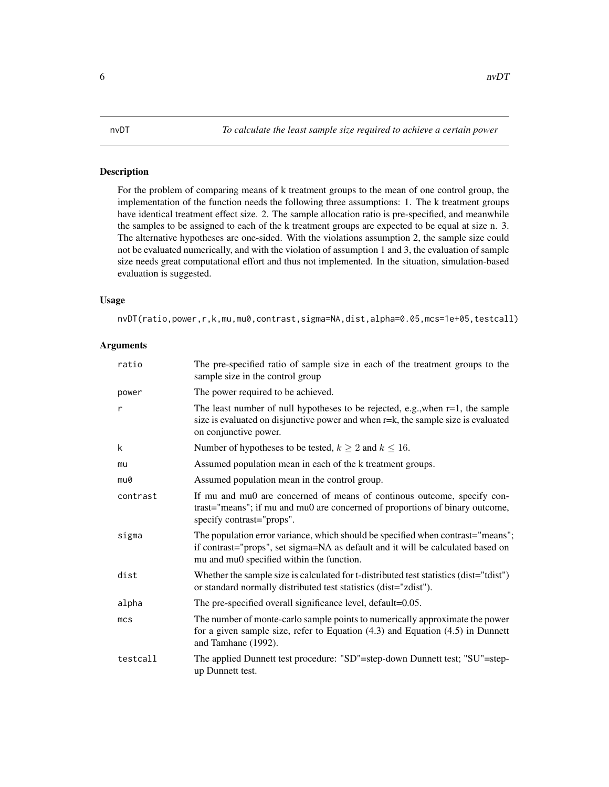#### <span id="page-5-1"></span><span id="page-5-0"></span>Description

For the problem of comparing means of k treatment groups to the mean of one control group, the implementation of the function needs the following three assumptions: 1. The k treatment groups have identical treatment effect size. 2. The sample allocation ratio is pre-specified, and meanwhile the samples to be assigned to each of the k treatment groups are expected to be equal at size n. 3. The alternative hypotheses are one-sided. With the violations assumption 2, the sample size could not be evaluated numerically, and with the violation of assumption 1 and 3, the evaluation of sample size needs great computational effort and thus not implemented. In the situation, simulation-based evaluation is suggested.

#### Usage

nvDT(ratio,power,r,k,mu,mu0,contrast,sigma=NA,dist,alpha=0.05,mcs=1e+05,testcall)

#### **Arguments**

| ratio           | The pre-specified ratio of sample size in each of the treatment groups to the<br>sample size in the control group                                                                                               |  |
|-----------------|-----------------------------------------------------------------------------------------------------------------------------------------------------------------------------------------------------------------|--|
| power           | The power required to be achieved.                                                                                                                                                                              |  |
| r               | The least number of null hypotheses to be rejected, e.g., when $r=1$ , the sample<br>size is evaluated on disjunctive power and when r=k, the sample size is evaluated<br>on conjunctive power.                 |  |
| k               | Number of hypotheses to be tested, $k \ge 2$ and $k \le 16$ .                                                                                                                                                   |  |
| mu              | Assumed population mean in each of the k treatment groups.                                                                                                                                                      |  |
| mu0             | Assumed population mean in the control group.                                                                                                                                                                   |  |
| contrast        | If mu and mu0 are concerned of means of continous outcome, specify con-<br>trast="means"; if mu and mu0 are concerned of proportions of binary outcome,<br>specify contrast="props".                            |  |
| sigma           | The population error variance, which should be specified when contrast="means";<br>if contrast="props", set sigma=NA as default and it will be calculated based on<br>mu and mu0 specified within the function. |  |
| dist            | Whether the sample size is calculated for t-distributed test statistics (dist="tdist")<br>or standard normally distributed test statistics (dist="zdist").                                                      |  |
| alpha           | The pre-specified overall significance level, default=0.05.                                                                                                                                                     |  |
| mc <sub>S</sub> | The number of monte-carlo sample points to numerically approximate the power<br>for a given sample size, refer to Equation $(4.3)$ and Equation $(4.5)$ in Dunnett<br>and Tamhane (1992).                       |  |
| testcall        | The applied Dunnett test procedure: "SD"=step-down Dunnett test; "SU"=step-<br>up Dunnett test.                                                                                                                 |  |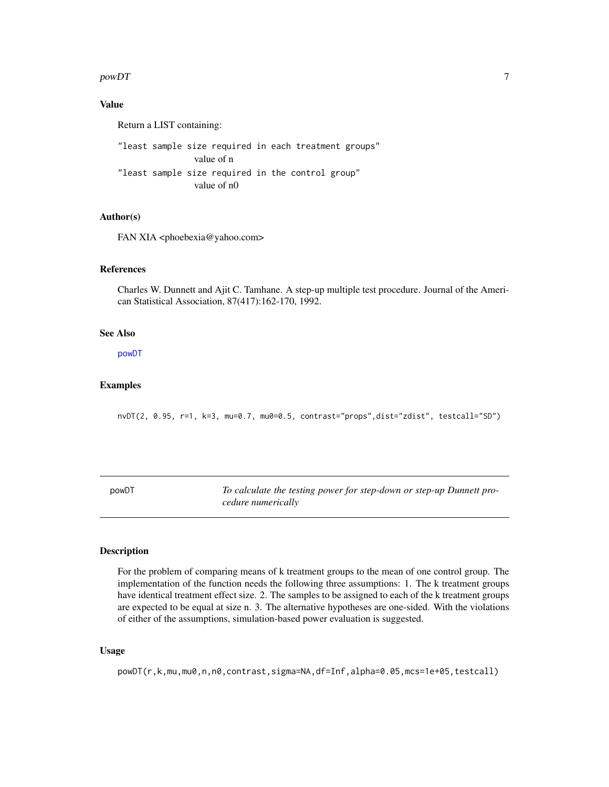#### <span id="page-6-0"></span> $powDT$  7

#### Value

Return a LIST containing:

"least sample size required in each treatment groups" value of n "least sample size required in the control group" value of n0

#### Author(s)

FAN XIA <phoebexia@yahoo.com>

#### References

Charles W. Dunnett and Ajit C. Tamhane. A step-up multiple test procedure. Journal of the American Statistical Association, 87(417):162-170, 1992.

#### See Also

[powDT](#page-6-1)

#### Examples

nvDT(2, 0.95, r=1, k=3, mu=0.7, mu0=0.5, contrast="props",dist="zdist", testcall="SD")

<span id="page-6-1"></span>powDT *To calculate the testing power for step-down or step-up Dunnett procedure numerically*

#### Description

For the problem of comparing means of k treatment groups to the mean of one control group. The implementation of the function needs the following three assumptions: 1. The k treatment groups have identical treatment effect size. 2. The samples to be assigned to each of the k treatment groups are expected to be equal at size n. 3. The alternative hypotheses are one-sided. With the violations of either of the assumptions, simulation-based power evaluation is suggested.

#### Usage

powDT(r,k,mu,mu0,n,n0,contrast,sigma=NA,df=Inf,alpha=0.05,mcs=1e+05,testcall)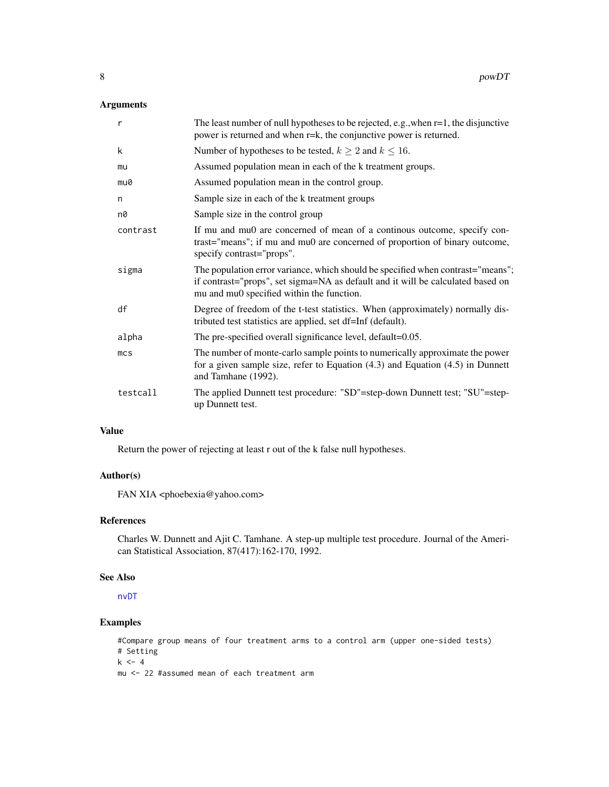#### <span id="page-7-0"></span>Arguments

| $\mathsf{r}$    | The least number of null hypotheses to be rejected, e.g., when $r=1$ , the disjunctive<br>power is returned and when r=k, the conjunctive power is returned.                                                    |
|-----------------|-----------------------------------------------------------------------------------------------------------------------------------------------------------------------------------------------------------------|
| k               | Number of hypotheses to be tested, $k \ge 2$ and $k \le 16$ .                                                                                                                                                   |
| mu              | Assumed population mean in each of the k treatment groups.                                                                                                                                                      |
| mu0             | Assumed population mean in the control group.                                                                                                                                                                   |
| n               | Sample size in each of the k treatment groups                                                                                                                                                                   |
| n0              | Sample size in the control group                                                                                                                                                                                |
| contrast        | If mu and mu0 are concerned of mean of a continous outcome, specify con-<br>trast="means"; if mu and mu0 are concerned of proportion of binary outcome,<br>specify contrast="props".                            |
| sigma           | The population error variance, which should be specified when contrast="means";<br>if contrast="props", set sigma=NA as default and it will be calculated based on<br>mu and mu0 specified within the function. |
| df              | Degree of freedom of the t-test statistics. When (approximately) normally dis-<br>tributed test statistics are applied, set df=Inf (default).                                                                   |
| alpha           | The pre-specified overall significance level, default=0.05.                                                                                                                                                     |
| mc <sub>S</sub> | The number of monte-carlo sample points to numerically approximate the power<br>for a given sample size, refer to Equation $(4.3)$ and Equation $(4.5)$ in Dunnett<br>and Tamhane (1992).                       |
| testcall        | The applied Dunnett test procedure: "SD"=step-down Dunnett test; "SU"=step-<br>up Dunnett test.                                                                                                                 |

#### Value

Return the power of rejecting at least r out of the k false null hypotheses.

#### Author(s)

FAN XIA <phoebexia@yahoo.com>

#### References

Charles W. Dunnett and Ajit C. Tamhane. A step-up multiple test procedure. Journal of the American Statistical Association, 87(417):162-170, 1992.

#### See Also

[nvDT](#page-5-1)

### Examples

#Compare group means of four treatment arms to a control arm (upper one-sided tests) # Setting  $k \leq -4$ mu <- 22 #assumed mean of each treatment arm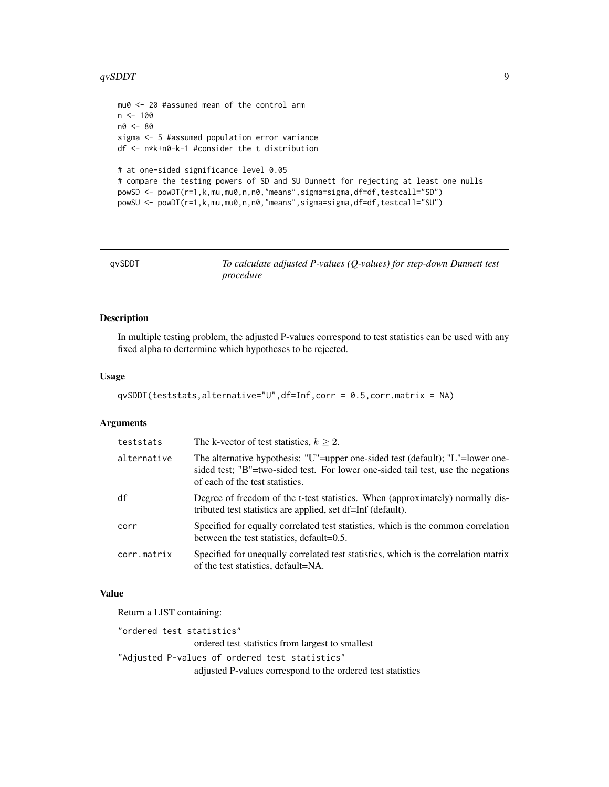#### <span id="page-8-0"></span> $qvSDDT$  9

```
mu0 <- 20 #assumed mean of the control arm
n < - 100n0 <- 80
sigma <- 5 #assumed population error variance
df <- n*k+n0-k-1 #consider the t distribution
# at one-sided significance level 0.05
# compare the testing powers of SD and SU Dunnett for rejecting at least one nulls
powSD <- powDT(r=1,k,mu,mu0,n,n0,"means",sigma=sigma,df=df,testcall="SD")
powSU <- powDT(r=1,k,mu,mu0,n,n0,"means",sigma=sigma,df=df,testcall="SU")
```
<span id="page-8-1"></span>

| qvSDDT | To calculate adjusted P-values ( $Q$ -values) for step-down Dunnett test |
|--------|--------------------------------------------------------------------------|
|        | procedure                                                                |

#### Description

In multiple testing problem, the adjusted P-values correspond to test statistics can be used with any fixed alpha to dertermine which hypotheses to be rejected.

#### Usage

```
qvSDDT(teststats,alternative="U",df=Inf,corr = 0.5,corr.matrix = NA)
```
#### Arguments

| teststats   | The k-vector of test statistics, $k > 2$ .                                                                                                                                                            |
|-------------|-------------------------------------------------------------------------------------------------------------------------------------------------------------------------------------------------------|
| alternative | The alternative hypothesis: "U"=upper one-sided test (default); "L"=lower one-<br>sided test; "B"=two-sided test. For lower one-sided tail test, use the negations<br>of each of the test statistics. |
| df          | Degree of freedom of the t-test statistics. When (approximately) normally dis-<br>tributed test statistics are applied, set df=Inf (default).                                                         |
| corr        | Specified for equally correlated test statistics, which is the common correlation<br>between the test statistics, default=0.5.                                                                        |
| corr.matrix | Specified for unequally correlated test statistics, which is the correlation matrix<br>of the test statistics, default=NA.                                                                            |

#### Value

Return a LIST containing:

"ordered test statistics" ordered test statistics from largest to smallest "Adjusted P-values of ordered test statistics" adjusted P-values correspond to the ordered test statistics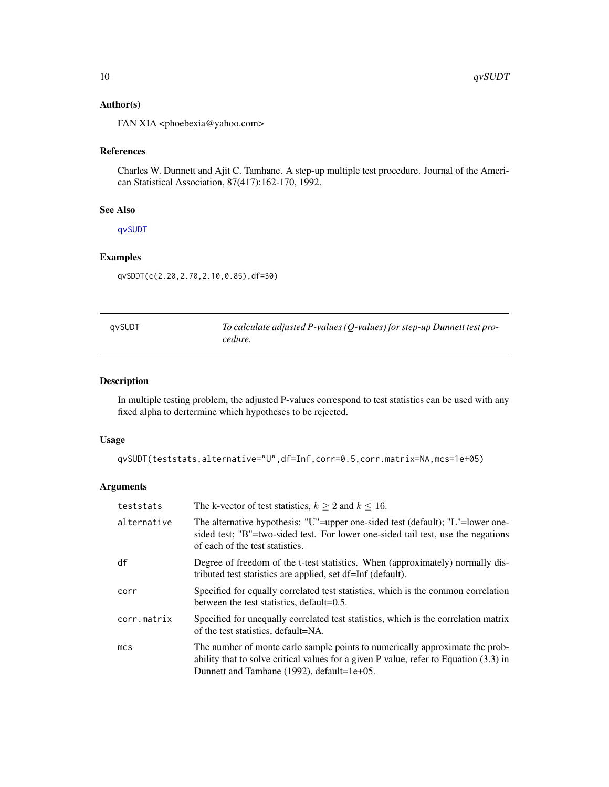#### <span id="page-9-0"></span>Author(s)

FAN XIA <phoebexia@yahoo.com>

#### References

Charles W. Dunnett and Ajit C. Tamhane. A step-up multiple test procedure. Journal of the American Statistical Association, 87(417):162-170, 1992.

#### See Also

[qvSUDT](#page-9-1)

#### Examples

qvSDDT(c(2.20,2.70,2.10,0.85),df=30)

<span id="page-9-1"></span>

| avSUDT | To calculate adjusted P-values ( $Q$ -values) for step-up Dunnett test pro- |
|--------|-----------------------------------------------------------------------------|
|        | cedure.                                                                     |

#### Description

In multiple testing problem, the adjusted P-values correspond to test statistics can be used with any fixed alpha to dertermine which hypotheses to be rejected.

#### Usage

qvSUDT(teststats,alternative="U",df=Inf,corr=0.5,corr.matrix=NA,mcs=1e+05)

#### Arguments

| teststats       | The k-vector of test statistics, $k > 2$ and $k < 16$ .                                                                                                                                                                 |  |
|-----------------|-------------------------------------------------------------------------------------------------------------------------------------------------------------------------------------------------------------------------|--|
| alternative     | The alternative hypothesis: "U"=upper one-sided test (default); "L"=lower one-<br>sided test; "B"=two-sided test. For lower one-sided tail test, use the negations<br>of each of the test statistics.                   |  |
| df              | Degree of freedom of the t-test statistics. When (approximately) normally dis-<br>tributed test statistics are applied, set df=Inf (default).                                                                           |  |
| corr            | Specified for equally correlated test statistics, which is the common correlation<br>between the test statistics, default=0.5.                                                                                          |  |
| corr.matrix     | Specified for unequally correlated test statistics, which is the correlation matrix<br>of the test statistics, default=NA.                                                                                              |  |
| mc <sub>S</sub> | The number of monte carlo sample points to numerically approximate the prob-<br>ability that to solve critical values for a given $P$ value, refer to Equation $(3.3)$ in<br>Dunnett and Tamhane (1992), default=1e+05. |  |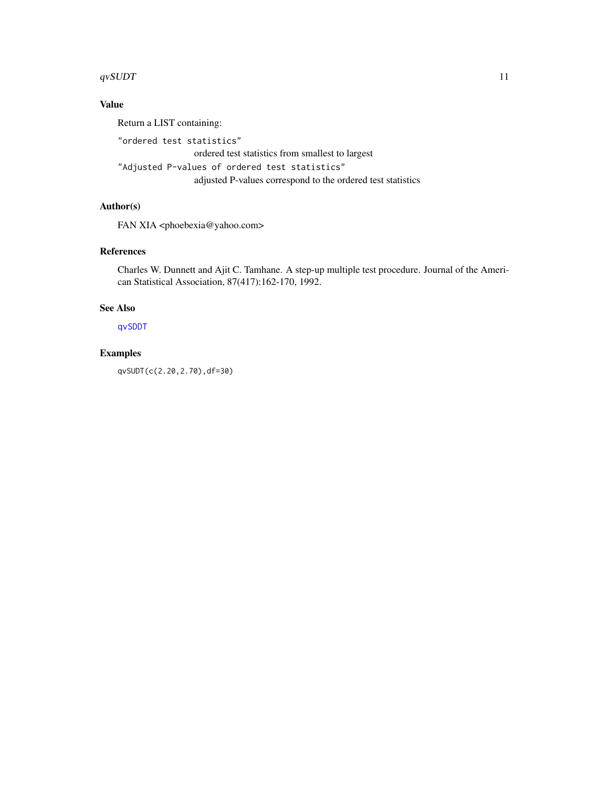#### <span id="page-10-0"></span> $qvSUDT$  11

#### Value

Return a LIST containing:

"ordered test statistics"

ordered test statistics from smallest to largest

"Adjusted P-values of ordered test statistics"

adjusted P-values correspond to the ordered test statistics

#### Author(s)

FAN XIA <phoebexia@yahoo.com>

#### References

Charles W. Dunnett and Ajit C. Tamhane. A step-up multiple test procedure. Journal of the American Statistical Association, 87(417):162-170, 1992.

#### See Also

[qvSDDT](#page-8-1)

#### Examples

qvSUDT(c(2.20,2.70),df=30)